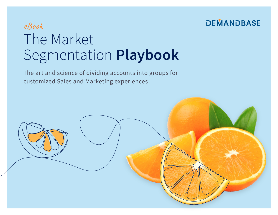## **DEMANDBASE**

## eBook The Market Segmentation **Playbook**

The art and science of dividing accounts into groups for customized Sales and Marketing experiences

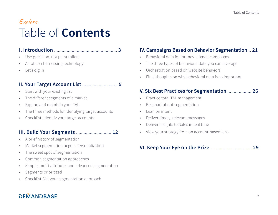## Explore Table of **Contents**

#### **I. Introduction** [..................................................](#page-2-0) **3**

- Use precision, not paint rollers
- A note on harnessing technology
- Let's dig in

## **[II. Your Target Account List](#page-4-0)** ............................ **5**

- Start with your existing list
- The different segments of a market
- Expand and maintain your TAL
- The three methods for identifying target accounts
- Checklist: Identify your target accounts

### **[III. Build Your Segments](#page-11-0)** ............................ **12**

- A brief history of segmentation
- Market segmentation begets personalization
- The sweet spot of segmentation
- Common segmentation approaches
- Simple, multi-attribute, and advanced segmentation
- Segments prioritized
- Checklist: Vet your segmentation approach

## **DEMANDBASE**

### **[IV. Campaigns Based on Behavior Segmentation](#page-20-0)**... **21**

- Behavioral data for journey-aligned campaigns
- The three types of behavioral data you can leverage
- Orchestration based on website behaviors
- Final thoughts on why behavioral data is so important

### **[V. Six Best Practices for Segmentation](#page-25-0)** ................... **26**

- Practice total TAL management
- Be smart about segmentation
- Lean on intent
- Deliver timely, relevant messages
- Deliver insights to Sales in real time
- View your strategy from an account-based lens

#### **[VI. Keep Your Eye on the Prize](#page-28-0)** ................................. **29**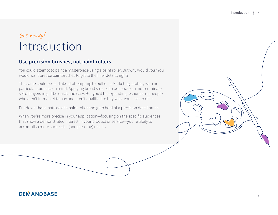## <span id="page-2-0"></span>Get ready! Introduction

### **Use precision brushes, not paint rollers**

You could attempt to paint a masterpiece using a paint roller. But why would you? You would want precise paintbrushes to get to the finer details, right?

The same could be said about attempting to pull off a Marketing strategy with no particular audience in mind. Applying broad strokes to penetrate an indiscriminate set of buyers might be quick and easy. But you'd be expending resources on people who aren't in-market to buy and aren't qualified to buy what you have to offer.

Put down that albatross of a paint roller and grab hold of a precision detail brush.

When you're more precise in your application—focusing on the specific audiences that show a demonstrated interest in your product or service—you're likely to accomplish more successful (and pleasing) results.

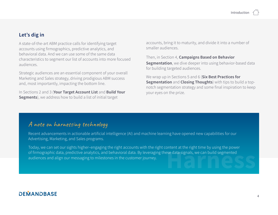#### **Let's dig in**

A state-of-the-art ABM practice calls for identifying target accounts using firmographics, predictive analytics, and behavioral data. And we can use some of the same data characteristics to segment our list of accounts into more focused audiences.

Strategic audiences are an essential component of your overall Marketing and Sales strategy, driving prodigious ABM success and, most importantly, impacting the bottom line.

In Sections 2 and 3 (**Your Target Account List** and **Build Your Segments**), we address how to build a list of initial target

accounts, bring it to maturity, and divide it into a number of smaller audiences.

Then, in Section 4, **Campaigns Based on Behavior Segmentation**, we dive deeper into using behavior-based data for building targeted audiences.

We wrap up in Sections 5 and 6 (**Six Best Practices for Segmentation** and **Closing Thoughts**) with tips to build a topnotch segmentation strategy and some final inspiration to keep your eyes on the prize.

## A note on harnessing technology

Recent advancements in actionable artificial intelligence (AI) and machine learning have opened new capabilities for our Advertising, Marketing, and Sales programs.

of firmographic data, predictive analytics, and behavioral data. By leveraging these data signals, we can build segmented<br>audiences and align our messaging to milestones in the customer journey.<br>And the signals, we can bui Today, we can set our sights higher–engaging the right accounts with the right content at the right time by using the power audiences and align our messaging to milestones in the customer journey.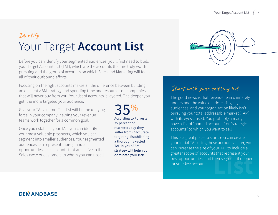## <span id="page-4-0"></span>Identify Your Target **Account List**

Before you can identify your segmented audiences, you'll first need to build your Target Account List (TAL), which are the accounts that are truly worth pursuing and the group of accounts on which Sales and Marketing will focus all of their outbound efforts.

Focusing on the right accounts makes all the difference between building an efficient ABM strategy and spending time and resources on companies that will never buy from you. Your list of accounts is layered. The deeper you get, the more targeted your audience.

Give your TAL a name. This list will be the unifying force in your company, helping your revenue teams work together for a common goal.

Once you establish your TAL, you can identify your most valuable prospects, which you can segment into smaller audiences. Your segmented audiences can represent more granular opportunities, like accounts that are active in the Sales cycle or customers to whom you can upsell.

 $35%$ <br>According to Forrester, 35 percent of marketers say they suffer from inaccurate targeting. Establishing a thoroughly vetted TAL in your ABM strategy will help you dominate your B2B.



## Start with your existing list

The good news is that revenue teams innately understand the value of addressing key audiences, and your organization likely isn't pursuing your total addressable market (TAM) with its eyes closed. You probably already have a list of "named accounts" or "strategic accounts" to which you want to sell.

This is a great place to start. You can create your initial TAL using these accounts. Later, you can increase the size of your TAL to include a greater scope of accounts that represent your best opportunities, and then segment it deeper<br>for your key accounts.<br>**Listing the set of the set of the set of the set of the set of the set of the set of the set of the set of th**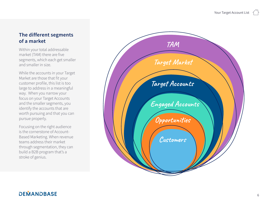#### **The different segments of a market**

Within your total addressable market (TAM) there are five segments, which each get smaller and smaller in size.

While the accounts in your Target Market are those that fit your customer profile, this list is too large to address in a meaningful way. When you narrow your focus on your Target Accounts and the smaller segments, you identify the accounts that are worth pursuing and that you can pursue properly.

Focusing on the right audience is the cornerstone of Account-Based Marketing. When revenue teams address their market through segmentation, they can build a B2B program that's a stroke of genius.

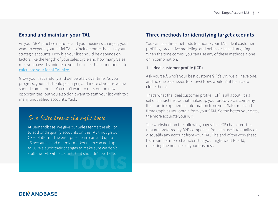#### **Expand and maintain your TAL**

As your ABM practice matures and your business changes, you'll want to expand your initial TAL to include more than just your strategic accounts. How big your list should be depends on factors like the length of your sales cycle and how many Sales reps you have. It's unique to your business. Use our modeler to [calculate your ideal TAL size](https://www.demandbase.com/target-account-list-calculator/).

Grow your list carefully and deliberately over time. As you progress, your list should get larger, and more of your revenue should come from it. You don't want to miss out on new opportunities, but you also don't want to stuff your list with too many unqualified accounts. Yuck.

## Give Sales teams the right tools

At Demandbase, we give our Sales teams the ability to add or disqualify accounts on the TAL through our CRM platform. The enterprise team can add up to 15 accounts, and our mid-market team can add up to 30. We audit their changes to make sure we don't stuff the TAL with accounts that shouldn't be there.

#### **Three methods for identifying target accounts**

You can use three methods to update your TAL: ideal customer profiling, predictive modeling, and behavior-based targeting. When the time comes, you can use any of these methods alone or in combination.

#### **1. Ideal customer profile (ICP)**

Ask yourself, who's your best customer? (It's OK, we all have one, and no one else needs to know.) Now, wouldn't it be nice to clone them?

That's what the ideal customer profile (ICP) is all about. It's a set of characteristics that makes up your prototypical company. It factors in experiential information from your Sales reps and firmographics you obtain from your CRM. So the better your data, the more accurate your ICP.

The worksheet on the following pages lists ICP characteristics that are preferred by B2B companies. You can use it to qualify or disqualify any account from your TAL. The end of the worksheet has room for more characteristics you might want to add, reflecting the nuances of your business.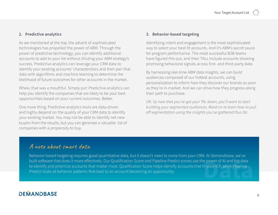#### **2. Predictive analytics**

As we mentioned at the top, the advent of sophisticated technologies has propelled the power of ABM. Through the power of predictive technology, you can identify additional accounts to add to your list without diluting your ABM strategy's success. Predictive analytics can leverage your CRM data to identify your existing accounts' characteristics and then pair that data with algorithms and machine learning to determine the likelihood of future outcomes for other accounts in the market.

Whew, that was a mouthful. Simply put: Predictive analytics can help you identify the companies that are likely to be your best opportunities based on your current outcomes. Better.

One more thing: Predictive analytics tools are data-driven and highly depend on the quality of your CRM data to identify your existing market. You may not be able to identify net-new buyers from the results, but you can generate a valuable list of companies with a propensity to buy.

#### **3. Behavior-based targeting**

Identifying intent and engagement is the most sophisticated way to select your best-fit accounts. And it's ABM's secret sauce for program performance. The most successful B2B teams have figured this out, and their TALs include accounts showing promising behavioral signals across first- and third-party data.

By harnessing real-time ABM data insights, we can build audiences composed of our hottest accounts, using personalization to inform how they discover our brands as soon as they're in-market. And we can drive how they progress along their path to purchase.

*OK. So now that you've got your TAL down, you'll want to start building your segmented audiences. Read on to learn how to pull off segmentation using the insights you've gathered thus far.* 

## A note about smart data

Behavior-based targeting requires good quantitative data, but it doesn't need to come from your CRM. At Demandbase, we've built software that does it more effectively. Our Qualification Score and Pipeline Predict scores use the power of AI and big data to identify and prioritize accounts that matter most. Qualification Score helps identify accounts that fit your ICP, while Pipeline built software that does it more effectively. Our Qualification Score and Pipeline Predict scores use the power of AI and big data<br>to identify and prioritize accounts that matter most. Qualification Score helps identify ac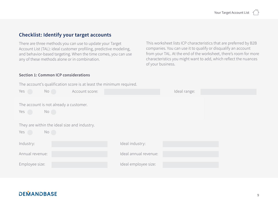#### **Checklist: Identify your target accounts**

There are three methods you can use to update your Target Account List (TAL): ideal customer profiling, predictive modeling, and behavior-based targeting. When the time comes, you can use any of these methods alone or in combination.

#### **Section 1: Common ICP considerations**

This worksheet lists ICP characteristics that are preferred by B2B companies. You can use it to qualify or disqualify an account from your TAL. At the end of the worksheet, there's room for more characteristics you might want to add, which reflect the nuances of your business.

The account's qualification score is at least the minimum required.

| Yes                                                 | No | Account score: |                       | Ideal range: |  |
|-----------------------------------------------------|----|----------------|-----------------------|--------------|--|
| The account is not already a customer.<br>Yes       | No |                |                       |              |  |
| They are within the ideal size and industry.<br>Yes | No |                |                       |              |  |
| Industry:                                           |    |                | Ideal industry:       |              |  |
| Annual revenue:                                     |    |                | Ideal annual revenue: |              |  |
| Employee size:                                      |    |                | Ideal employee size:  |              |  |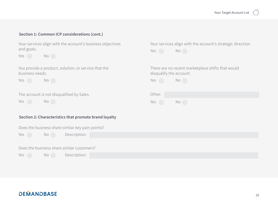Your services align with the account's strategic direction.

There are no recent marketplace shifts that would

Yes No

disqualify the account.

Yes No

Yes No

Other:

#### **Section 1: Common ICP considerations (cont.)**

Your services align with the account's business objectives and goals.

Yes No

You provide a product, solution, or service that the business needs.

Yes No

The account is not disqualified by Sales.

Yes No

#### **Section 2: Characteristics that promote brand loyalty**

| Does the business share similar key pain points? |       |                                            |  |  |
|--------------------------------------------------|-------|--------------------------------------------|--|--|
| Yes                                              | $N$ o | Description:                               |  |  |
|                                                  |       |                                            |  |  |
|                                                  |       | Does the business share similar customers? |  |  |
| Yes                                              | No No | Description:                               |  |  |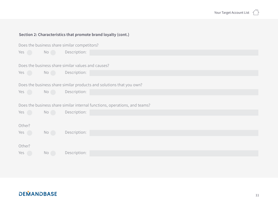#### **Section 2: Characteristics that promote brand loyalty (cont.)**

| Does the business share similar competitors? |       |                                                                            |  |  |
|----------------------------------------------|-------|----------------------------------------------------------------------------|--|--|
| Yes                                          | $N$ o | Description:                                                               |  |  |
|                                              |       |                                                                            |  |  |
|                                              |       | Does the business share similar values and causes?                         |  |  |
| Yes                                          | $N$ o | Description:                                                               |  |  |
|                                              |       |                                                                            |  |  |
|                                              |       | Does the business share similar products and solutions that you own?       |  |  |
| Yes                                          | $N$ o | Description:                                                               |  |  |
|                                              |       |                                                                            |  |  |
|                                              |       | Does the business share similar internal functions, operations, and teams? |  |  |
| Yes a                                        | No    | Description:                                                               |  |  |
|                                              |       |                                                                            |  |  |
| Other?                                       |       |                                                                            |  |  |
| Yes                                          | No    | Description:                                                               |  |  |
|                                              |       |                                                                            |  |  |
| Other?                                       |       |                                                                            |  |  |
| Yes                                          | No    | Description:                                                               |  |  |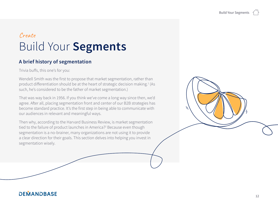## <span id="page-11-0"></span>Create Build Your **Segments**

### **A brief history of segmentation**

Trivia buffs, this one's for you:

Wendell Smith was the first to propose that market segmentation, rather than product differentiation should be at the heart of strategic decision making.<sup>1</sup> (As such, he's considered to be the father of market segmentation.)

That was way back in 1956. If you think we've come a long way since then, we'd agree. After all, placing segmentation front and center of our B2B strategies has become standard practice. It's the first step in being able to communicate with our audiences in relevant and meaningful ways.

Then why, according to the Harvard Business Review, is market segmentation tied to the failure of product launches in America?2 Because even though segmentation is a no-brainer, many organizations are not using it to provide a clear direction for their goals. This section delves into helping you invest in segmentation wisely.

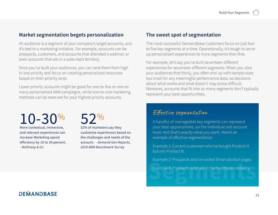#### **Market segmentation begets personalization**

An audience is a segment of your company's target accounts, and it's tied to a marketing initiative. For example, accounts can be prospects, customers, and accounts that attended a webinar, or even accounts that are in a sales rep's territory.

Once you've built your audiences, you can rank them from high to low priority and focus on creating personalized resources based on their priority level.

Lower priority accounts might be great for one-to-few or one-tomany personalized ABM campaigns, while one-to-one marketing methods can be reserved for your highest priority accounts.

10-30% More contextual, immersive, and relevant experiences can increase Marketing spend

efficiency by 10 to 30 percent.

- *McKinsey & Co*

52%

52% of marketers say they customize experiences based on the challenges and needs of the account. - *Demand Gen Reports, 2019 ABM Benchmark Survey*

#### **The sweet spot of segmentation**

The most successful Demandbase customers focus on just four to five key segments at a time. Operationally, it's tough to serve up personalized experiences to more segments than that.

For example, let's say you've built seventeen different experiences for seventeen different segments. When you slice your audiences that thinly, you often end up with sample sizes too small for any meaningful performance data, so decisions about what works and what doesn't may prove difficult. Moreover, accounts that fit into so many segments don't typically represent your best opportunities.

### Effective segmentation

A handful of manageable key segments can represent your best opportunities, on the individual and account level. And that's exactly what you want. Here's an example of effective segmentation:

Example 1: Current customers who've bought Product A but not Product B.

Example 2: Prospects who've visited three solution pages.

Example 3: Prospects who are in the healthcare industry.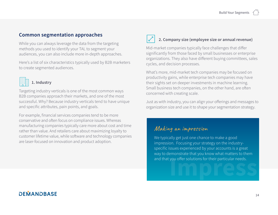#### **Common segmentation approaches**

While you can always leverage the data from the targeting methods you used to identify your TAL to segment your audiences, you can also include more in-depth approaches.

Here's a list of six characteristics typically used by B2B marketers to create segmented audiences.



#### **1. Industry**

Targeting industry verticals is one of the most common ways B2B companies approach their markets, and one of the most successful. Why? Because industry verticals tend to have unique and specific attributes, pain points, and goals.

For example, financial services companies tend to be more conservative and often focus on compliance issues. Whereas manufacturing companies typically care more about cost and time rather than value. And retailers care about maximizing loyalty to customer lifetime value, while software and technology companies are laser-focused on innovation and product adoption.

#### **2. Company size (employee size or annual revenue)**

Mid-market companies typically face challenges that differ significantly from those faced by small businesses or enterprise organizations. They also have different buying committees, sales cycles, and decision processes.

What's more, mid-market tech companies may be focused on productivity gains, while enterprise tech companies may have their sights set on deeper investments in machine learning. Small business tech companies, on the other hand, are often concerned with creating scale.

Just as with industry, you can align your offerings and messages to organization size and use it to shape your segmentation strategy.

#### Making an impression

We typically get just one chance to make a good impression. Focusing your strategy on the industryspecific issues experienced by your accounts is a great way to demonstrate that you know what matters to them and that you offer solutions for their particular needs.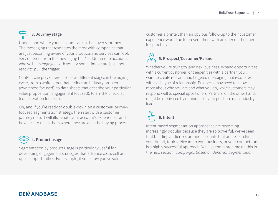## **3. Journey stage**

Understand where your accounts are in the buyer's journey. The messaging that resonates the most with companies that are just becoming aware of your products and services can look very different from the messaging that's addressed to accounts who've been engaged with you for some time or are just about ready to pull the trigger.

Content can play different roles at different stages in the buying cycle, from a whitepaper that defines an industry problem (awareness focused), to data sheets that describe your particular value proposition (engagement focused), to an RFP checklist (consideration focused).

Oh, and if you're ready to double-down on a customer-journeyfocused segmentation strategy, then start with a customer journey map. It will illuminate your account's experiences and how best to reach them where they are at in the buying process.

## **4. Product usage**

Segmentation by product usage is particularly useful for developing engagement strategies that advance cross-sell and upsell opportunities. For example, if you know you've sold a

customer a printer, then an obvious follow-up to their customer experience would be to present them with an offer on their next ink purchase.

## **5. Prospect/Customer/Partner**

Whether you're trying to land new business, expand opportunities with a current customer, or deepen ties with a partner, you'll want to create relevant and targeted messaging that resonates with each type of relationship. Prospects may need to know more about who you are and what you do, while customers may respond well to special upsell offers. Partners, on the other hand, might be motivated by reminders of your position as an industry leader.

## **6. Intent**

Intent-based segmentation approaches are becoming increasingly popular because they are so powerful. We've seen that building audiences around accounts that are researching your brand, topics relevant to your business, or your competitors is a highly successful approach. We'll spend more time on this in the next section, *Campaigns Based on Behavior Segmentation*.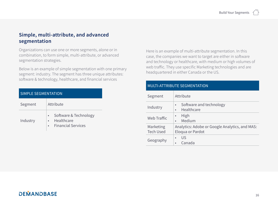#### **Simple, multi-attribute, and advanced segmentation**

Organizations can use one or more segments, alone or in combination, to form simple, multi-attribute, or advanced segmentation strategies.

Below is an example of simple segmentation with one primary segment: industry. The segment has three unique attributes: software & technology, healthcare, and financial services

| SIMPLE SEGMENTATION |                                                                  |  |  |
|---------------------|------------------------------------------------------------------|--|--|
| Segment             | Attribute                                                        |  |  |
| Industry            | Software & Technology<br>Healthcare<br><b>Financial Services</b> |  |  |

Here is an example of multi-attribute segmentation. In this case, the companies we want to target are either in software and technology or healthcare, with medium or high volumes of web traffic. They use specific Marketing technologies and are headquartered in either Canada or the US.

#### MULTI-ATTRIBUTE SEGMENTATION

| Segment                       | Attribute                                                          |  |  |
|-------------------------------|--------------------------------------------------------------------|--|--|
| Industry                      | Software and technology<br>$\bullet$<br>Healthcare<br>$\bullet$    |  |  |
| Web Traffic                   | High<br>$\bullet$<br>Medium<br>$\bullet$                           |  |  |
| Marketing<br><b>Tech Used</b> | Analytics: Adobe or Google Analytics, and MAS:<br>Eloqua or Pardot |  |  |
| Geography                     | US<br>Canada                                                       |  |  |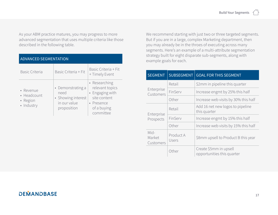As your ABM practice matures, you may progress to more advanced segmentation that uses multiple criteria like those described in the following table.

| <b>ADVANCED SEGMENTATION</b>                       |                                                                                |                                                                                                               |  |
|----------------------------------------------------|--------------------------------------------------------------------------------|---------------------------------------------------------------------------------------------------------------|--|
| <b>Basic Criteria</b>                              | Basic Criteria + Fit                                                           | Basic Criteria + Fit<br>+ Timely Event                                                                        |  |
| • Revenue<br>• Headcount<br>• Region<br>· Industry | • Demonstrating a<br>need<br>• Showing interest<br>in our value<br>proposition | • Researching<br>relevant topics<br>• Engaging with<br>site content<br>• Presence<br>of a buying<br>committee |  |

We recommend starting with just two or three targeted segments. But if you are in a large, complex Marketing department, then you may already be in the throes of executing across many segments. Here's an example of a multi-attribute segmentation strategy built for eight disparate sub-segments, along with example goals for each.

| <b>SEGMENT</b>                                    | <b>SUBSEGMENT</b> | <b>GOAL FOR THIS SEGMENT</b>                         |  |
|---------------------------------------------------|-------------------|------------------------------------------------------|--|
|                                                   | Retail            | \$2mm in pipeline this quarter                       |  |
| Enterprise<br>Customers                           | FinServ           | Increase engmt by 25% this half                      |  |
|                                                   | Other             | Increase web visits by 30% this half                 |  |
| Enterprise                                        | Retail            | Add 16 net new logos to pipeline<br>this quarter     |  |
| Prospects                                         | FinServ           | Increase engmt by 15% this half                      |  |
|                                                   | Other             | Increase web visits by 15% this half                 |  |
| Mid-<br>Product A<br>Market<br>Users<br>Customers |                   | \$8mm upsell to Product B this year                  |  |
|                                                   | Other             | Create \$5mm in upsell<br>opportunities this quarter |  |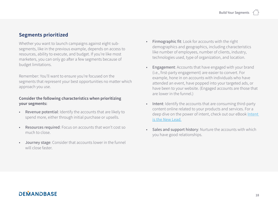#### **Segments prioritized**

Whether you want to launch campaigns against eight subsegments, like in the previous example, depends on access to resources, ability to execute, and budget. If you're like most marketers, you can only go after a few segments because of budget limitations.

Remember: You'll want to ensure you're focused on the segments that represent your best opportunities no matter which approach you use.

#### **Consider the following characteristics when prioritizing your segments:**

- Revenue potential: Identify the accounts that are likely to spend more, either through initial purchase or upsells.
- Resources required: Focus on accounts that won't cost so much to close.
- Journey stage: Consider that accounts lower in the funnel will close faster.
- Firmographic fit: Look for accounts with the right demographics and geographics, including characteristics like number of employees, number of clients, industry, technologies used, type of organization, and location.
- Engagement: Accounts that have engaged with your brand (i.e., first-party engagement) are easier to convert. For example, hone in on accounts with individuals who have attended an event, have popped into your targeted ads, or have been to your website. (Engaged accounts are those that are lower in the funnel.)
- Intent: Identify the accounts that are consuming third-party content online related to your products and services. For a deep dive on the power of intent, check out our eBook Intent [is the New Lead](https://www.demandbase.com/ebook/intent-is-the-new-lead/).
- Sales and support history: Nurture the accounts with which you have good relationships.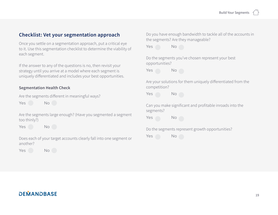#### **Checklist: Vet your segmentation approach**

Once you settle on a segmentation approach, put a critical eye to it. Use this segmentation checklist to determine the viability of each segment.

If the answer to any of the questions is no, then revisit your strategy until you arrive at a model where each segment is uniquely differentiated and includes your best opportunities.

#### **Segmentation Health Check**

|  | Are the segments different in meaningful ways? |  |
|--|------------------------------------------------|--|
|  |                                                |  |

Yes No

Are the segments large enough? (Have you segmented a segment too thinly?)

Yes No

Does each of your target accounts clearly fall into one segment or another?

Yes No

Do you have enough bandwidth to tackle all of the accounts in the segments? Are they manageable?



Do the segments you've chosen represent your best opportunities?



Are your solutions for them uniquely differentiated from the competition?

Yes No

Can you make significant and profitable inroads into the segments?



Do the segments represent growth opportunities?

Yes No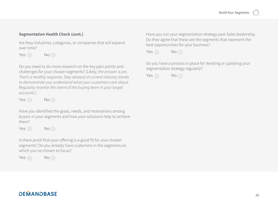#### **Segmentation Health Check (cont.)**

Are they industries, categories, or companies that will expand over time?

Yes No

Do you need to do more research on the key pain points and challenges for your chosen segments? (*Likely, the answer is yes. That's a healthy response. Stay abreast of current industry trends to demonstrate you understand what your customers care about. Regularly monitor the intent of the buying team in your target accounts.*)

Yes No

Have you identified the goals, needs, and motivations among buyers in your segments and how your solutions help to achieve them?

Yes No

Is there proof that your offering is a good fit for your chosen segments? Do you already have customers in the segments on which you've chosen to focus?

Yes No

Have you run your segmentation strategy past Sales leadership. Do they agree that these are the segments that represent the best opportunities for your business?

Yes No

Do you have a process in place for iterating or updating your segmentation strategy regularly?

Yes No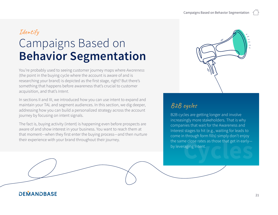## Identify

# <span id="page-20-0"></span>Campaigns Based on **Behavior Segmentation**

You're probably used to seeing customer journey maps where *Awareness*  (the point in the buying cycle where the account is aware of and is researching your brand) is depicted as the first stage, right? But there's something that happens before awareness that's crucial to customer acquisition, and that's *Intent*.

In sections II and III, we introduced how you can use intent to expand and maintain your TAL and segment audiences. In this section, we dig deeper, addressing how you can build a personalized strategy across the account journey by focusing on intent signals.

The fact is, buying activity (intent) is happening even before prospects are aware of and show interest in your business. You want to reach them at that moment—when they first enter the buying process—and then nurture their experience with your brand throughout their journey.



## B2B cycles

B2B cycles are getting longer and involve increasingly more stakeholders. That is why companies that wait for the Awareness and Interest stages to hit (e.g., waiting for leads to come in through form fills) simply don't enjoy the same close rates as those that get in early—<br>by leveraging Intent.<br>**Cycles**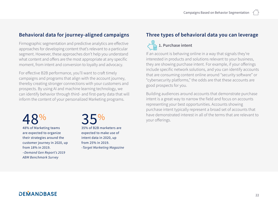#### **Behavioral data for journey-aligned campaigns**

Firmographic segmentation and predictive analytics are effective approaches for developing content that's relevant to a particular segment. However, these approaches don't help you understand what content and offers are the most appropriate at any specific moment, from intent and conversion to loyalty and advocacy.

For effective B2B performance, you'll want to craft timely campaigns and programs that align with the account journey, thereby creating stronger connections with your customers and prospects. By using AI and machine learning technology, we can identify behavior through third- and first-party data that will inform the content of your personalized Marketing programs.

 $48\%$  of Marketing teams

are expected to organize their strategies around the customer journey in 2020, up from 18% in 2019. –*Demand Gen Report's 2019* 

*ABM Benchmark Survey*

 $35\%$ <br>35% of B2B marketers are

expected to make use of intent data in 2020, up from 25% in 2019. -*Target Marketing Magazine*

#### **Three types of behavioral data you can leverage**



If an account is behaving online in a way that signals they're interested in products and solutions relevant to your business, they are showing purchase intent. For example, if your offerings include specific network solutions, and you can identify accounts that are consuming content online around "security software" or "cybersecurity platforms," the odds are that these accounts are good prospects for you.

Building audiences around accounts that demonstrate purchase intent is a great way to narrow the field and focus on accounts representing your best opportunities. Accounts showing purchase intent typically represent a broad set of accounts that have demonstrated interest in all of the terms that are relevant to your offerings.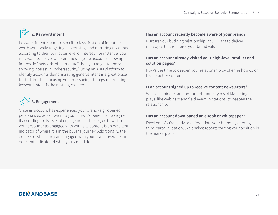## **2. Keyword intent**

Keyword intent is a more specific classification of intent. It's worth your while targeting, advertising, and nurturing accounts according to their particular level of interest. For instance, you may want to deliver different messages to accounts showing interest in "network infrastructure" than you might to those showing interest in "cybersecurity." Using an ABM platform to identify accounts demonstrating general intent is a great place to start. Further, focusing your messaging strategy on trending keyword intent is the next logical step.



Once an account has experienced your brand (e.g., opened personalized ads or went to your site), it's beneficial to segment it according to its level of engagement. The degree to which your account has engaged with your site content is an excellent indicator of where it is in the buyer's journey. Additionally, the degree to which they are engaged with your brand overall is an excellent indicator of what you should do next.

#### **Has an account recently become aware of your brand?**

Nurture your budding relationship. You'll want to deliver messages that reinforce your brand value.

#### **Has an account already visited your high-level product and solution pages?**

Now's the time to deepen your relationship by offering how-to or best practice content.

#### **Is an account signed up to receive content newsletters?**

Weave in middle- and bottom-of-funnel types of Marketing plays, like webinars and field event invitations, to deepen the relationship.

#### **Has an account downloaded an eBook or whitepaper?**

Excellent! You're ready to differentiate your brand by offering third-party validation, like analyst reports touting your position in the marketplace.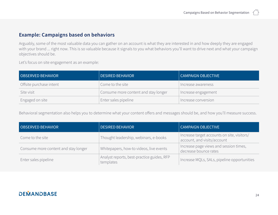#### **Example: Campaigns based on behaviors**

Arguably, some of the most valuable data you can gather on an account is what they are interested in and how deeply they are engaged with your brand ... right now. This is so valuable because it signals to you what behaviors you'll want to drive next and what your campaign objectives should be.

Let's focus on site engagement as an example:

| <b>OBSERVED BEHAVIOR</b> | DESIRED BEHAVIOR                     | <b>CAMPAIGN OBJECTIVE</b> |
|--------------------------|--------------------------------------|---------------------------|
| Offsite purchase intent  | Come to the site                     | Increase awareness        |
| Site visit               | Consume more content and stay longer | Increase engagement       |
| Engaged on site          | Enter sales pipeline                 | Increase conversion       |

Behavioral segmentation also helps you to determine what your content offers and messages should be, and how you'll measure success.

| <b>OBSERVED BEHAVIOR</b>             | <b>DESIRED BEHAVIOR</b>                                 | <b>CAMPAIGN OBJECTIVE</b>                                                  |
|--------------------------------------|---------------------------------------------------------|----------------------------------------------------------------------------|
| Come to the site                     | Thought leadership, webinars, e-books                   | Increase target accounts on site, visitors/<br>account, and visits/account |
| Consume more content and stay longer | Whitepapers, how-to videos, live events                 | Increase page views and session times,<br>decrease bounce rates            |
| Enter sales pipeline                 | Analyst reports, best-practice guides, RFP<br>templates | Increase MQLs, SALs, pipeline opportunities                                |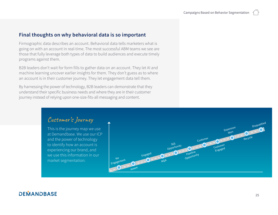#### **Final thoughts on why behavioral data is so important**

Firmographic data describes an account. Behavioral data tells marketers what is going on with an account in real-time. The most successful ABM teams we see are those that fully leverage both types of data to build audiences and execute timely programs against them.

B2B leaders don't wait for form fills to gather data on an account. They let AI and machine learning uncover earlier insights for them. They don't guess as to where an account is in their customer journey. They let engagement data tell them.

By harnessing the power of technology, B2B leaders can demonstrate that they understand their specific business needs and where they are in their customer journey instead of relying upon one-size-fits-all messaging and content.

## Customer's Journey

This is the journey map we use at Demandbase. We use our ICP and the power of technology to identify how an account is experiencing our brand, and we use this information in our market segmentation:

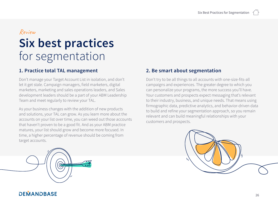#### Review

# <span id="page-25-0"></span>**Six best practices**  for segmentation

### **1. Practice total TAL management**

Don't manage your Target Account List in isolation, and don't let it get stale. Campaign managers, field marketers, digital marketers, marketing and sales operations leaders, and Sales development leaders should be a part of your ABM Leadership Team and meet regularly to review your TAL.

As your business changes with the addition of new products and solutions, your TAL can grow. As you learn more about the accounts on your list over time, you can weed out those accounts that haven't proven to be a good fit. And as your ABM practice matures, your list should grow and become more focused. In time, a higher percentage of revenue should be coming from target accounts.

#### **2. Be smart about segmentation**

Don't try to be all things to all accounts with one-size-fits-all campaigns and experiences. The greater degree to which you can personalize your programs, the more success you'll have. Your customers and prospects expect messaging that's relevant to their industry, business, and unique needs. That means using firmographic data, predictive analytics, and behavior-driven data to build and refine your segmentation approach, so you remain relevant and can build meaningful relationships with your customers and prospects.



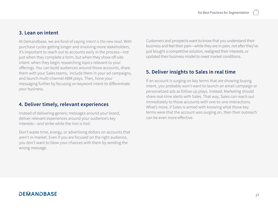#### **3. Lean on intent**

At Demandbase, we are fond of saying *intent is the new lead*. With purchase cycles getting longer and involving more stakeholders, it's important to reach out to accounts early in the process—not just when they complete a form, but when they show off-site intent: when they begin researching topics relevant to your offerings. You can build audiences around those accounts, share them with your Sales teams, include them in your ad campaigns, and launch multi-channel ABM plays. Then, hone your messaging further by focusing on keyword intent to differentiate your business.

#### **4. Deliver timely, relevant experiences**

Instead of delivering generic messages around your brand, deliver relevant experiences around your audience's key interests—and strike while the iron is hot!

Don't waste time, energy, or advertising dollars on accounts that aren't in-market. Even if you are focused on the right audience, you don't want to blow your chances with them by sending the wrong message.

Customers and prospects want to know that you understand their business and feel their pain—while they are in pain, not after they've just bought a competitive solution, realigned their interests, or updated their business model to meet market conditions.

#### **5. Deliver insights to Sales in real time**

If an account is surging on key terms that are showing buying intent, you probably won't want to launch an email campaign or personalized ads as follow up plays. Instead, Marketing should share real-time alerts with Sales. That way, Sales can reach out immediately to those accounts with one-to-one interactions. What's more, if Sales is armed with knowing what those key terms were that the account was surging on, then their outreach can be even more effective.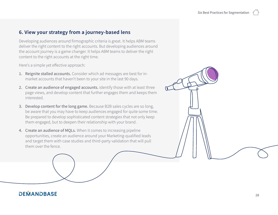#### **6. View your strategy from a journey-based lens**

Developing audiences around firmographic criteria is great. It helps ABM teams deliver the right content to the right accounts. But developing audiences around the account journey is a game changer. It helps ABM teams to deliver the right content to the right accounts at the right time.

Here's a simple yet effective approach:

- 1. Reignite stalled accounts. Consider which ad messages are best for inmarket accounts that haven't been to your site in the last 90 days.
- 2. Create an audience of engaged accounts. Identify those with at least three page views, and develop content that further engages them and keeps them interested.
- 3. Develop content for the long game. Because B2B sales cycles are so long, be aware that you may have to keep audiences engaged for quite some time. Be prepared to develop sophisticated content strategies that not only keep them engaged, but to deepen their relationship with your brand.
- 4. Create an audience of MQLs. When it comes to increasing pipeline opportunities, create an audience around your Marketing-qualified leads and target them with case studies and third-party validation that will pull them over the fence.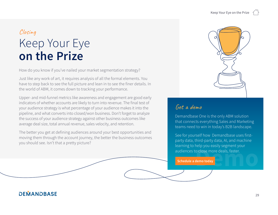## <span id="page-28-0"></span>Closing Keep Your Eye **on the Prize**

How do you know if you've nailed your market segmentation strategy?

Just like any work of art, it requires analysis of all the formal elements. You have to step back to see the full picture and lean in to see the finer details. In the world of ABM, it comes down to tracking your performance.

Upper- and mid-funnel metrics like awareness and engagement are good early indicators of whether accounts are likely to turn into revenue. The final test of your audience strategy is what percentage of your audience makes it into the pipeline, and what converts into closed/won business. Don't forget to analyze the success of your audience strategy against other business outcomes like average deal size, total annual revenue, sales velocity, and retention.

The better you get at defining audiences around your best opportunities and moving them through the account journey, the better the business outcomes you should see. Isn't that a pretty picture?



## Get a demo

Demandbase One is the only ABM solution that connects everything Sales and Marketing teams need to win in today's B2B landscape.

audiences to close more deals, faster.<br> **Schedule a demo today** See for yourself how Demandbase uses firstparty data, third-party data, AI, and machine learning to help you easily segment your

 **Schedule a demo today**